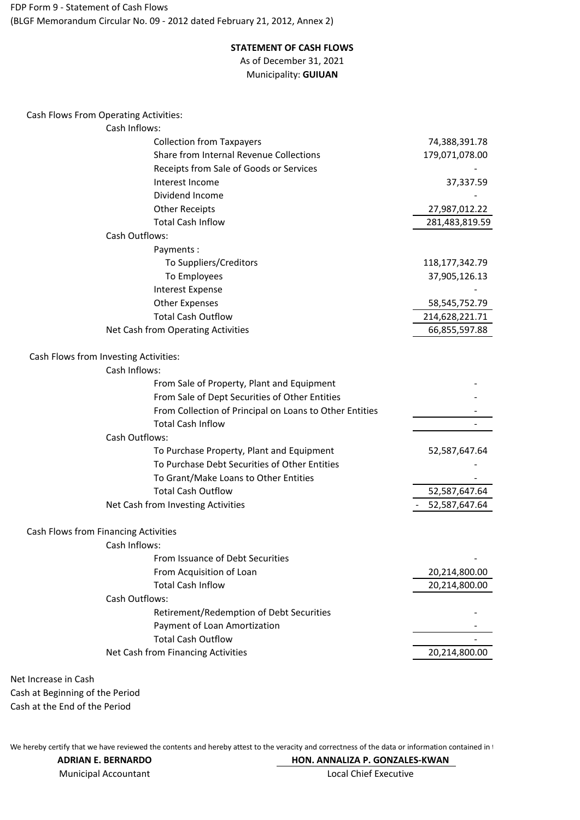(BLGF Memorandum Circular No. 09 - 2012 dated February 21, 2012, Annex 2) FDP Form 9 - Statement of Cash Flows

## **STATEMENT OF CASH FLOWS** As of December 31, 2021

Municipality: **GUIUAN**

Cash Inflows: 74,388,391.78 179,071,078.00 - 1990 - 1990 - 1990 - 1990 - 1990 - 1990 - 1990 - 1990 - 1990 - 1990 - 1990 - 1990 - 1990 - 1990 - 1990 - 19<br>1991 - 1991 - 1991 - 1991 - 1991 - 1991 - 1991 - 1991 - 1991 - 1991 - 1991 - 1991 - 1991 - 1991 - 1991 - 1991 37,337.59 - 1990 - 1990 - 1990 - 1990 - 1990 - 1990 - 1990 - 1990 - 1990 - 1990 - 1990 - 1990 - 1990 - 1990 - 1990 - 19<br>1991 - 1991 - 1991 - 1991 - 1991 - 1991 - 1991 - 1991 - 1991 - 1991 - 1991 - 1991 - 1991 - 1991 - 1991 - 1991 27,987,012.22 281,483,819.59 Cash Outflows: Payments : To Suppliers/Creditors 118,177,342.79 To Employees 37,905,126.13 Interest Expense Other Expenses 58,545,752.79 Total Cash Outflow 214,628,221.71 Net Cash from Operating Activities 66,855,597.88 Cash Inflows: - 1990 - 1990 - 1990 - 1990 - 1990 - 1990 - 1990 - 1990 - 1990 - 1990 - 1990 - 1990 - 1990 - 1990 - 1990 - 19<br>1991 - 1991 - 1991 - 1991 - 1991 - 1991 - 1991 - 1991 - 1991 - 1991 - 1991 - 1991 - 1991 - 1991 - 1991 - 1991 - 1990 - 1990 - 1990 - 1990 - 1990 - 1990 - 1990 - 1990 - 1990 - 1990 - 1990 - 1990 - 1990 - 1990 - 1990 - 19<br>1991 - 1991 - 1991 - 1991 - 1991 - 1991 - 1991 - 1991 - 1991 - 1991 - 1991 - 1991 - 1991 - 1991 - 1991 - 1991 - 1990 - 1990 - 1990 - 1990 - 1990 - 1990 - 1990 - 1990 - 1990 - 1990 - 1990 - 1990 - 1990 - 1990 - 1990 - 19<br>1991 - 1991 - 1991 - 1991 - 1991 - 1991 - 1991 - 1991 - 1991 - 1991 - 1991 - 1991 - 1991 - 1991 - 1991 - 1991 - 1990 - 1990 - 1990 - 1990 - 1990 - 1990 - 1990 - 1990 - 1990 - 1990 - 1990 - 1990 - 1990 - 1990 - 1990 - 19<br>1991 - 1991 - 1991 - 1991 - 1991 - 1991 - 1991 - 1991 - 1991 - 1991 - 1991 - 1991 - 1991 - 1991 - 1991 - 1991 Cash Outflows: 52,587,647.64 - 1990 - 1990 - 1990 - 1990 - 1990 - 1990 - 1990 - 1990 - 1990 - 1990 - 1990 - 1990 - 1990 - 1990 - 1990 - 19<br>1991 - 1991 - 1991 - 1991 - 1991 - 1991 - 1991 - 1991 - 1991 - 1991 - 1991 - 1991 - 1991 - 1991 - 1991 - 1991 - 1990 - 1990 - 1990 - 1990 - 1990 - 1990 - 1990 - 1990 - 1990 - 1990 - 1990 - 1990 - 1990 - 1990 - 1990 - 19<br>1991 - 1991 - 1991 - 1991 - 1991 - 1991 - 1991 - 1991 - 1991 - 1991 - 1991 - 1991 - 1991 - 1991 - 1991 - 1991 52,587,647.64 - 52,587,647.64 Cash Inflows: - 1990 - 1990 - 1990 - 1990 - 1990 - 1990 - 1990 - 1990 - 1990 - 1990 - 1990 - 1990 - 1990 - 1990 - 1990 - 19<br>1991 - 1991 - 1991 - 1991 - 1991 - 1991 - 1991 - 1991 - 1991 - 1991 - 1991 - 1991 - 1991 - 1991 - 1991 - 1991 20,214,800.00 20,214,800.00 Cash Outflows: - 1990 - 1990 - 1990 - 1990 - 1990 - 1990 - 1990 - 1990 - 1990 - 1990 - 1990 - 1990 - 1990 - 1990 - 1990 - 19<br>1991 - 1991 - 1991 - 1991 - 1991 - 1991 - 1991 - 1991 - 1991 - 1991 - 1991 - 1991 - 1991 - 1991 - 1991 - 1991 - 1990 - 1990 - 1990 - 1990 - 1990 - 1990 - 1990 - 1990 - 1990 - 1990 - 1990 - 1990 - 1990 - 1990 - 1990 - 19<br>1991 - 1991 - 1991 - 1991 - 1991 - 1991 - 1991 - 1991 - 1991 - 1991 - 1991 - 1991 - 1991 - 1991 - 1991 - 1991 - 1990 - 1990 - 1990 - 1990 - 1990 - 1990 - 1990 - 1990 - 1990 - 1990 - 1990 - 1990 - 1990 - 1990 - 1990 - 19<br>1991 - 1991 - 1991 - 1991 - 1991 - 1991 - 1991 - 1991 - 1991 - 1991 - 1991 - 1991 - 1991 - 1991 - 1991 - 1991 20,214,800.00 Net Cash from Financing Activities From Issuance of Debt Securities From Acquisition of Loan Total Cash Inflow Total Cash Outflow Retirement/Redemption of Debt Securities Payment of Loan Amortization Total Cash Inflow To Purchase Property, Plant and Equipment To Purchase Debt Securities of Other Entities Total Cash Outflow Cash Flows from Financing Activities Net Cash from Investing Activities To Grant/Make Loans to Other Entities Total Cash Inflow Cash Flows from Investing Activities: From Sale of Property, Plant and Equipment From Sale of Dept Securities of Other Entities From Collection of Principal on Loans to Other Entities Other Receipts Cash Flows From Operating Activities: Collection from Taxpayers Share from Internal Revenue Collections Receipts from Sale of Goods or Services Interest Income Dividend Income

Cash at Beginning of the Period Cash at the End of the Period Net Increase in Cash

We hereby certify that we have reviewed the contents and hereby attest to the veracity and correctness of the data or information contained in 1

Municipal Accountant **ADRIAN E. BERNARDO** **HON. ANNALIZA P. GONZALES-KWAN** Local Chief Executive